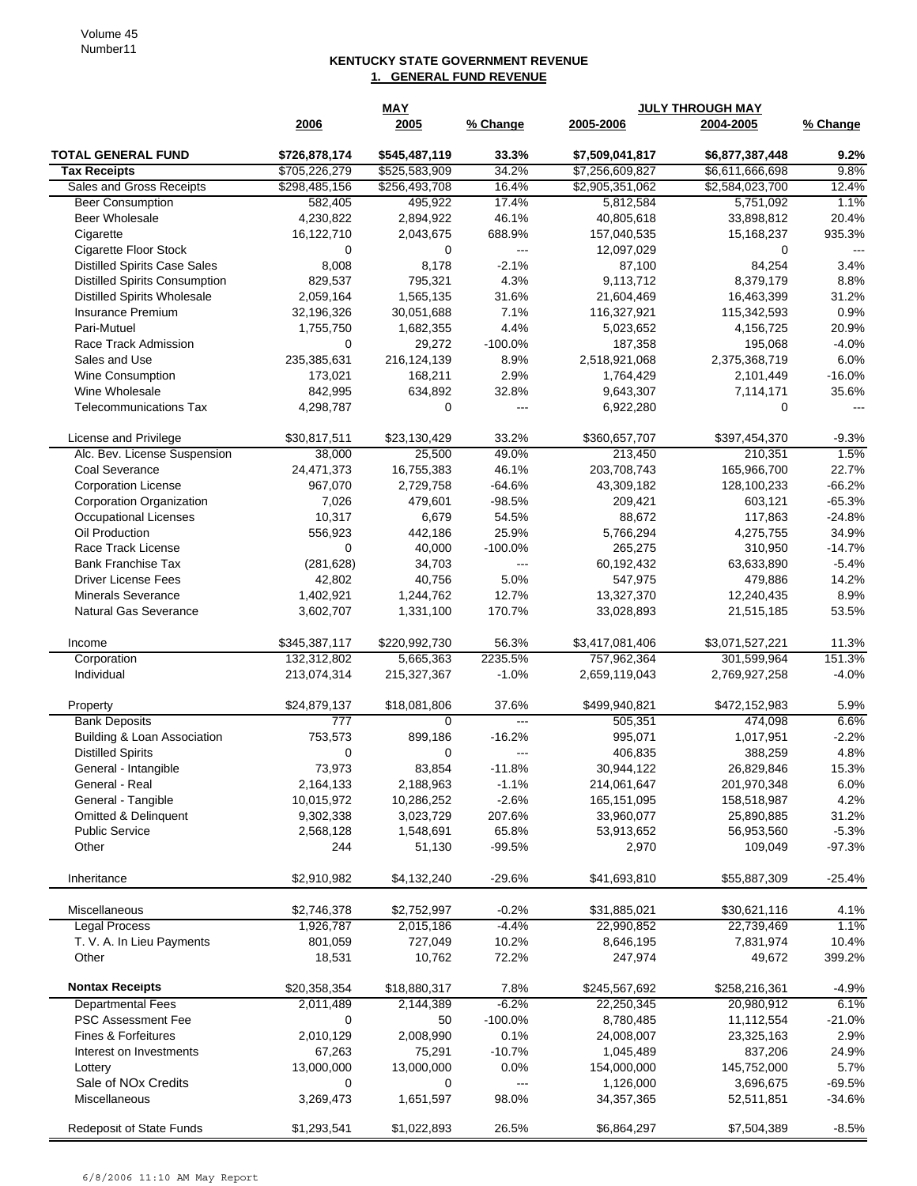## **KENTUCKY STATE GOVERNMENT REVENUE 1. GENERAL FUND REVENUE**

| 2005<br>% Change<br>2005-2006<br>2004-2005<br>% Change<br>2006<br><b>TOTAL GENERAL FUND</b><br>\$726,878,174<br>\$545,487,119<br>33.3%<br>\$7,509,041,817<br>\$6,877,387,448<br>9.2%<br>\$705,226,279<br>34.2%<br>9.8%<br><b>Tax Receipts</b><br>\$525,583,909<br>\$7,256,609,827<br>\$6,611,666,698<br>Sales and Gross Receipts<br>\$298,485,156<br>\$256,493,708<br>16.4%<br>\$2,584,023,700<br>12.4%<br>\$2,905,351,062<br>582,405<br>495,922<br>17.4%<br>5,812,584<br>5,751,092<br>1.1%<br><b>Beer Consumption</b><br>Beer Wholesale<br>46.1%<br>20.4%<br>4,230,822<br>2,894,922<br>40,805,618<br>33,898,812<br>688.9%<br>Cigarette<br>16,122,710<br>2,043,675<br>157,040,535<br>15,168,237<br>935.3%<br>Cigarette Floor Stock<br>0<br>0<br>12,097,029<br>0<br>---<br>$\overline{\phantom{a}}$<br><b>Distilled Spirits Case Sales</b><br>8,008<br>8,178<br>$-2.1%$<br>87,100<br>84,254<br>3.4%<br><b>Distilled Spirits Consumption</b><br>4.3%<br>8.8%<br>829,537<br>795,321<br>9,113,712<br>8,379,179<br><b>Distilled Spirits Wholesale</b><br>2,059,164<br>1,565,135<br>31.6%<br>21,604,469<br>16,463,399<br>31.2%<br><b>Insurance Premium</b><br>7.1%<br>0.9%<br>32,196,326<br>30,051,688<br>116,327,921<br>115,342,593<br>4.4%<br>Pari-Mutuel<br>1,755,750<br>1,682,355<br>5,023,652<br>4,156,725<br>20.9%<br>$-100.0%$<br>Race Track Admission<br>0<br>29,272<br>187,358<br>195,068<br>$-4.0%$<br>235,385,631<br>216,124,139<br>8.9%<br>2,518,921,068<br>2,375,368,719<br>Sales and Use<br>6.0%<br>2.9%<br>$-16.0%$<br><b>Wine Consumption</b><br>173,021<br>168,211<br>1,764,429<br>2,101,449<br>Wine Wholesale<br>32.8%<br>842,995<br>634,892<br>9,643,307<br>7,114,171<br>35.6%<br><b>Telecommunications Tax</b><br>4,298,787<br>0<br>6,922,280<br>0<br>$---$<br>$---$<br>33.2%<br>License and Privilege<br>\$30,817,511<br>\$23,130,429<br>\$360,657,707<br>\$397,454,370<br>$-9.3%$<br>38,000<br>25,500<br>49.0%<br>213,450<br>210,351<br>1.5%<br>Alc. Bev. License Suspension<br>46.1%<br>Coal Severance<br>24,471,373<br>16,755,383<br>203,708,743<br>165,966,700<br>22.7%<br>$-64.6%$<br>43,309,182<br>$-66.2%$<br><b>Corporation License</b><br>967,070<br>2,729,758<br>128,100,233<br>7,026<br>$-98.5%$<br>$-65.3%$<br>Corporation Organization<br>479,601<br>209,421<br>603,121<br>10,317<br>54.5%<br>$-24.8%$<br>Occupational Licenses<br>6,679<br>88,672<br>117,863<br>Oil Production<br>556,923<br>25.9%<br>442,186<br>5,766,294<br>4,275,755<br>34.9%<br>$-100.0%$<br>Race Track License<br>0<br>40,000<br>265,275<br>310,950<br>$-14.7%$<br>(281, 628)<br><b>Bank Franchise Tax</b><br>34,703<br>60,192,432<br>63,633,890<br>$-5.4%$<br>$--$<br>5.0%<br>14.2%<br><b>Driver License Fees</b><br>42,802<br>40,756<br>547,975<br>479,886<br><b>Minerals Severance</b><br>12.7%<br>8.9%<br>1,402,921<br>1,244,762<br>13,327,370<br>12,240,435<br><b>Natural Gas Severance</b><br>3,602,707<br>1,331,100<br>170.7%<br>33,028,893<br>21,515,185<br>53.5%<br>\$345,387,117<br>\$220,992,730<br>56.3%<br>\$3,417,081,406<br>\$3,071,527,221<br>11.3%<br>Income<br>2235.5%<br>Corporation<br>132,312,802<br>5,665,363<br>757,962,364<br>301,599,964<br>151.3%<br>Individual<br>213,074,314<br>215,327,367<br>$-1.0%$<br>2,659,119,043<br>2,769,927,258<br>$-4.0%$<br>\$18,081,806<br>37.6%<br>\$499,940,821<br>5.9%<br>Property<br>\$24,879,137<br>\$472,152,983<br><b>Bank Deposits</b><br>777<br>505,351<br>474,098<br>6.6%<br>$\Omega$<br>$---$<br>Building & Loan Association<br>$-16.2%$<br>753,573<br>899,186<br>995,071<br>1,017,951<br>$-2.2%$<br><b>Distilled Spirits</b><br>4.8%<br>0<br>0<br>406,835<br>388,259<br>---<br>83,854<br>73,973<br>$-11.8%$<br>30,944,122<br>26,829,846<br>15.3%<br>General - Intangible<br>General - Real<br>2,164,133<br>2,188,963<br>$-1.1%$<br>214,061,647<br>201,970,348<br>6.0%<br>$-2.6%$<br>General - Tangible<br>10,015,972<br>10,286,252<br>165,151,095<br>158,518,987<br>4.2%<br>Omitted & Delinquent<br>9,302,338<br>3,023,729<br>207.6%<br>33,960,077<br>31.2%<br>25,890,885<br><b>Public Service</b><br>2,568,128<br>1,548,691<br>65.8%<br>53,913,652<br>56,953,560<br>$-5.3%$<br>Other<br>$-99.5%$<br>244<br>51,130<br>2,970<br>109,049<br>-97.3%<br>Inheritance<br>\$2,910,982<br>\$4,132,240<br>$-29.6%$<br>\$41,693,810<br>\$55,887,309<br>$-25.4%$<br>Miscellaneous<br>\$2,746,378<br>\$2,752,997<br>$-0.2%$<br>\$31,885,021<br>\$30,621,116<br>4.1%<br><b>Legal Process</b><br>1,926,787<br>2,015,186<br>$-4.4%$<br>22,990,852<br>1.1%<br>22,739,469<br>10.2%<br>T. V. A. In Lieu Payments<br>801,059<br>727,049<br>10.4%<br>8,646,195<br>7,831,974<br>Other<br>18,531<br>10,762<br>72.2%<br>247,974<br>49,672<br>399.2%<br><b>Nontax Receipts</b><br>\$20,358,354<br>\$18,880,317<br>7.8%<br>\$245,567,692<br>\$258,216,361<br>$-4.9%$<br><b>Departmental Fees</b><br>2,011,489<br>$-6.2%$<br>6.1%<br>2,144,389<br>22,250,345<br>20,980,912<br><b>PSC Assessment Fee</b><br>$-100.0%$<br>8,780,485<br>11,112,554<br>0<br>50<br>$-21.0%$<br><b>Fines &amp; Forfeitures</b><br>2,010,129<br>2,008,990<br>0.1%<br>24,008,007<br>2.9%<br>23,325,163<br>67,263<br>75,291<br>$-10.7%$<br>1,045,489<br>837,206<br>24.9%<br>Interest on Investments<br>13,000,000<br>13,000,000<br>0.0%<br>154,000,000<br>145,752,000<br>5.7%<br>Lottery<br>Sale of NOx Credits<br>1,126,000<br>3,696,675<br>$-69.5%$<br>0<br>0<br>---<br>Miscellaneous<br>3,269,473<br>1,651,597<br>98.0%<br>34,357,365<br>52,511,851<br>$-34.6%$<br>Redeposit of State Funds<br>26.5%<br>\$1,293,541<br>\$1,022,893<br>\$6,864,297<br>\$7,504,389<br>$-8.5%$ |  | <b>MAY</b> | <b>JULY THROUGH MAY</b> |  |  |
|---------------------------------------------------------------------------------------------------------------------------------------------------------------------------------------------------------------------------------------------------------------------------------------------------------------------------------------------------------------------------------------------------------------------------------------------------------------------------------------------------------------------------------------------------------------------------------------------------------------------------------------------------------------------------------------------------------------------------------------------------------------------------------------------------------------------------------------------------------------------------------------------------------------------------------------------------------------------------------------------------------------------------------------------------------------------------------------------------------------------------------------------------------------------------------------------------------------------------------------------------------------------------------------------------------------------------------------------------------------------------------------------------------------------------------------------------------------------------------------------------------------------------------------------------------------------------------------------------------------------------------------------------------------------------------------------------------------------------------------------------------------------------------------------------------------------------------------------------------------------------------------------------------------------------------------------------------------------------------------------------------------------------------------------------------------------------------------------------------------------------------------------------------------------------------------------------------------------------------------------------------------------------------------------------------------------------------------------------------------------------------------------------------------------------------------------------------------------------------------------------------------------------------------------------------------------------------------------------------------------------------------------------------------------------------------------------------------------------------------------------------------------------------------------------------------------------------------------------------------------------------------------------------------------------------------------------------------------------------------------------------------------------------------------------------------------------------------------------------------------------------------------------------------------------------------------------------------------------------------------------------------------------------------------------------------------------------------------------------------------------------------------------------------------------------------------------------------------------------------------------------------------------------------------------------------------------------------------------------------------------------------------------------------------------------------------------------------------------------------------------------------------------------------------------------------------------------------------------------------------------------------------------------------------------------------------------------------------------------------------------------------------------------------------------------------------------------------------------------------------------------------------------------------------------------------------------------------------------------------------------------------------------------------------------------------------------------------------------------------------------------------------------------------------------------------------------------------------------------------------------------------------------------------------------------------------------------------------------------------------------------------------------------------------------------------------------------------------------------------------------------------------------------------------------------------------------------------------------------------------------------------------------------------------------------------------------------------------------------------------------------------------------------------------------------------------------------------------------------------------------------------------------------------------------------------------------------------------------------------------------------------------------------------------------------------------------------------------------------------------------------------------------------------------------------------------------------------------------------------------------------------------------------------------------------------------------------------------------|--|------------|-------------------------|--|--|
|                                                                                                                                                                                                                                                                                                                                                                                                                                                                                                                                                                                                                                                                                                                                                                                                                                                                                                                                                                                                                                                                                                                                                                                                                                                                                                                                                                                                                                                                                                                                                                                                                                                                                                                                                                                                                                                                                                                                                                                                                                                                                                                                                                                                                                                                                                                                                                                                                                                                                                                                                                                                                                                                                                                                                                                                                                                                                                                                                                                                                                                                                                                                                                                                                                                                                                                                                                                                                                                                                                                                                                                                                                                                                                                                                                                                                                                                                                                                                                                                                                                                                                                                                                                                                                                                                                                                                                                                                                                                                                                                                                                                                                                                                                                                                                                                                                                                                                                                                                                                                                                                                                                                                                                                                                                                                                                                                                                                                                                                                                                                                                                                   |  |            |                         |  |  |
|                                                                                                                                                                                                                                                                                                                                                                                                                                                                                                                                                                                                                                                                                                                                                                                                                                                                                                                                                                                                                                                                                                                                                                                                                                                                                                                                                                                                                                                                                                                                                                                                                                                                                                                                                                                                                                                                                                                                                                                                                                                                                                                                                                                                                                                                                                                                                                                                                                                                                                                                                                                                                                                                                                                                                                                                                                                                                                                                                                                                                                                                                                                                                                                                                                                                                                                                                                                                                                                                                                                                                                                                                                                                                                                                                                                                                                                                                                                                                                                                                                                                                                                                                                                                                                                                                                                                                                                                                                                                                                                                                                                                                                                                                                                                                                                                                                                                                                                                                                                                                                                                                                                                                                                                                                                                                                                                                                                                                                                                                                                                                                                                   |  |            |                         |  |  |
|                                                                                                                                                                                                                                                                                                                                                                                                                                                                                                                                                                                                                                                                                                                                                                                                                                                                                                                                                                                                                                                                                                                                                                                                                                                                                                                                                                                                                                                                                                                                                                                                                                                                                                                                                                                                                                                                                                                                                                                                                                                                                                                                                                                                                                                                                                                                                                                                                                                                                                                                                                                                                                                                                                                                                                                                                                                                                                                                                                                                                                                                                                                                                                                                                                                                                                                                                                                                                                                                                                                                                                                                                                                                                                                                                                                                                                                                                                                                                                                                                                                                                                                                                                                                                                                                                                                                                                                                                                                                                                                                                                                                                                                                                                                                                                                                                                                                                                                                                                                                                                                                                                                                                                                                                                                                                                                                                                                                                                                                                                                                                                                                   |  |            |                         |  |  |
|                                                                                                                                                                                                                                                                                                                                                                                                                                                                                                                                                                                                                                                                                                                                                                                                                                                                                                                                                                                                                                                                                                                                                                                                                                                                                                                                                                                                                                                                                                                                                                                                                                                                                                                                                                                                                                                                                                                                                                                                                                                                                                                                                                                                                                                                                                                                                                                                                                                                                                                                                                                                                                                                                                                                                                                                                                                                                                                                                                                                                                                                                                                                                                                                                                                                                                                                                                                                                                                                                                                                                                                                                                                                                                                                                                                                                                                                                                                                                                                                                                                                                                                                                                                                                                                                                                                                                                                                                                                                                                                                                                                                                                                                                                                                                                                                                                                                                                                                                                                                                                                                                                                                                                                                                                                                                                                                                                                                                                                                                                                                                                                                   |  |            |                         |  |  |
|                                                                                                                                                                                                                                                                                                                                                                                                                                                                                                                                                                                                                                                                                                                                                                                                                                                                                                                                                                                                                                                                                                                                                                                                                                                                                                                                                                                                                                                                                                                                                                                                                                                                                                                                                                                                                                                                                                                                                                                                                                                                                                                                                                                                                                                                                                                                                                                                                                                                                                                                                                                                                                                                                                                                                                                                                                                                                                                                                                                                                                                                                                                                                                                                                                                                                                                                                                                                                                                                                                                                                                                                                                                                                                                                                                                                                                                                                                                                                                                                                                                                                                                                                                                                                                                                                                                                                                                                                                                                                                                                                                                                                                                                                                                                                                                                                                                                                                                                                                                                                                                                                                                                                                                                                                                                                                                                                                                                                                                                                                                                                                                                   |  |            |                         |  |  |
|                                                                                                                                                                                                                                                                                                                                                                                                                                                                                                                                                                                                                                                                                                                                                                                                                                                                                                                                                                                                                                                                                                                                                                                                                                                                                                                                                                                                                                                                                                                                                                                                                                                                                                                                                                                                                                                                                                                                                                                                                                                                                                                                                                                                                                                                                                                                                                                                                                                                                                                                                                                                                                                                                                                                                                                                                                                                                                                                                                                                                                                                                                                                                                                                                                                                                                                                                                                                                                                                                                                                                                                                                                                                                                                                                                                                                                                                                                                                                                                                                                                                                                                                                                                                                                                                                                                                                                                                                                                                                                                                                                                                                                                                                                                                                                                                                                                                                                                                                                                                                                                                                                                                                                                                                                                                                                                                                                                                                                                                                                                                                                                                   |  |            |                         |  |  |
|                                                                                                                                                                                                                                                                                                                                                                                                                                                                                                                                                                                                                                                                                                                                                                                                                                                                                                                                                                                                                                                                                                                                                                                                                                                                                                                                                                                                                                                                                                                                                                                                                                                                                                                                                                                                                                                                                                                                                                                                                                                                                                                                                                                                                                                                                                                                                                                                                                                                                                                                                                                                                                                                                                                                                                                                                                                                                                                                                                                                                                                                                                                                                                                                                                                                                                                                                                                                                                                                                                                                                                                                                                                                                                                                                                                                                                                                                                                                                                                                                                                                                                                                                                                                                                                                                                                                                                                                                                                                                                                                                                                                                                                                                                                                                                                                                                                                                                                                                                                                                                                                                                                                                                                                                                                                                                                                                                                                                                                                                                                                                                                                   |  |            |                         |  |  |
|                                                                                                                                                                                                                                                                                                                                                                                                                                                                                                                                                                                                                                                                                                                                                                                                                                                                                                                                                                                                                                                                                                                                                                                                                                                                                                                                                                                                                                                                                                                                                                                                                                                                                                                                                                                                                                                                                                                                                                                                                                                                                                                                                                                                                                                                                                                                                                                                                                                                                                                                                                                                                                                                                                                                                                                                                                                                                                                                                                                                                                                                                                                                                                                                                                                                                                                                                                                                                                                                                                                                                                                                                                                                                                                                                                                                                                                                                                                                                                                                                                                                                                                                                                                                                                                                                                                                                                                                                                                                                                                                                                                                                                                                                                                                                                                                                                                                                                                                                                                                                                                                                                                                                                                                                                                                                                                                                                                                                                                                                                                                                                                                   |  |            |                         |  |  |
|                                                                                                                                                                                                                                                                                                                                                                                                                                                                                                                                                                                                                                                                                                                                                                                                                                                                                                                                                                                                                                                                                                                                                                                                                                                                                                                                                                                                                                                                                                                                                                                                                                                                                                                                                                                                                                                                                                                                                                                                                                                                                                                                                                                                                                                                                                                                                                                                                                                                                                                                                                                                                                                                                                                                                                                                                                                                                                                                                                                                                                                                                                                                                                                                                                                                                                                                                                                                                                                                                                                                                                                                                                                                                                                                                                                                                                                                                                                                                                                                                                                                                                                                                                                                                                                                                                                                                                                                                                                                                                                                                                                                                                                                                                                                                                                                                                                                                                                                                                                                                                                                                                                                                                                                                                                                                                                                                                                                                                                                                                                                                                                                   |  |            |                         |  |  |
|                                                                                                                                                                                                                                                                                                                                                                                                                                                                                                                                                                                                                                                                                                                                                                                                                                                                                                                                                                                                                                                                                                                                                                                                                                                                                                                                                                                                                                                                                                                                                                                                                                                                                                                                                                                                                                                                                                                                                                                                                                                                                                                                                                                                                                                                                                                                                                                                                                                                                                                                                                                                                                                                                                                                                                                                                                                                                                                                                                                                                                                                                                                                                                                                                                                                                                                                                                                                                                                                                                                                                                                                                                                                                                                                                                                                                                                                                                                                                                                                                                                                                                                                                                                                                                                                                                                                                                                                                                                                                                                                                                                                                                                                                                                                                                                                                                                                                                                                                                                                                                                                                                                                                                                                                                                                                                                                                                                                                                                                                                                                                                                                   |  |            |                         |  |  |
|                                                                                                                                                                                                                                                                                                                                                                                                                                                                                                                                                                                                                                                                                                                                                                                                                                                                                                                                                                                                                                                                                                                                                                                                                                                                                                                                                                                                                                                                                                                                                                                                                                                                                                                                                                                                                                                                                                                                                                                                                                                                                                                                                                                                                                                                                                                                                                                                                                                                                                                                                                                                                                                                                                                                                                                                                                                                                                                                                                                                                                                                                                                                                                                                                                                                                                                                                                                                                                                                                                                                                                                                                                                                                                                                                                                                                                                                                                                                                                                                                                                                                                                                                                                                                                                                                                                                                                                                                                                                                                                                                                                                                                                                                                                                                                                                                                                                                                                                                                                                                                                                                                                                                                                                                                                                                                                                                                                                                                                                                                                                                                                                   |  |            |                         |  |  |
|                                                                                                                                                                                                                                                                                                                                                                                                                                                                                                                                                                                                                                                                                                                                                                                                                                                                                                                                                                                                                                                                                                                                                                                                                                                                                                                                                                                                                                                                                                                                                                                                                                                                                                                                                                                                                                                                                                                                                                                                                                                                                                                                                                                                                                                                                                                                                                                                                                                                                                                                                                                                                                                                                                                                                                                                                                                                                                                                                                                                                                                                                                                                                                                                                                                                                                                                                                                                                                                                                                                                                                                                                                                                                                                                                                                                                                                                                                                                                                                                                                                                                                                                                                                                                                                                                                                                                                                                                                                                                                                                                                                                                                                                                                                                                                                                                                                                                                                                                                                                                                                                                                                                                                                                                                                                                                                                                                                                                                                                                                                                                                                                   |  |            |                         |  |  |
|                                                                                                                                                                                                                                                                                                                                                                                                                                                                                                                                                                                                                                                                                                                                                                                                                                                                                                                                                                                                                                                                                                                                                                                                                                                                                                                                                                                                                                                                                                                                                                                                                                                                                                                                                                                                                                                                                                                                                                                                                                                                                                                                                                                                                                                                                                                                                                                                                                                                                                                                                                                                                                                                                                                                                                                                                                                                                                                                                                                                                                                                                                                                                                                                                                                                                                                                                                                                                                                                                                                                                                                                                                                                                                                                                                                                                                                                                                                                                                                                                                                                                                                                                                                                                                                                                                                                                                                                                                                                                                                                                                                                                                                                                                                                                                                                                                                                                                                                                                                                                                                                                                                                                                                                                                                                                                                                                                                                                                                                                                                                                                                                   |  |            |                         |  |  |
|                                                                                                                                                                                                                                                                                                                                                                                                                                                                                                                                                                                                                                                                                                                                                                                                                                                                                                                                                                                                                                                                                                                                                                                                                                                                                                                                                                                                                                                                                                                                                                                                                                                                                                                                                                                                                                                                                                                                                                                                                                                                                                                                                                                                                                                                                                                                                                                                                                                                                                                                                                                                                                                                                                                                                                                                                                                                                                                                                                                                                                                                                                                                                                                                                                                                                                                                                                                                                                                                                                                                                                                                                                                                                                                                                                                                                                                                                                                                                                                                                                                                                                                                                                                                                                                                                                                                                                                                                                                                                                                                                                                                                                                                                                                                                                                                                                                                                                                                                                                                                                                                                                                                                                                                                                                                                                                                                                                                                                                                                                                                                                                                   |  |            |                         |  |  |
|                                                                                                                                                                                                                                                                                                                                                                                                                                                                                                                                                                                                                                                                                                                                                                                                                                                                                                                                                                                                                                                                                                                                                                                                                                                                                                                                                                                                                                                                                                                                                                                                                                                                                                                                                                                                                                                                                                                                                                                                                                                                                                                                                                                                                                                                                                                                                                                                                                                                                                                                                                                                                                                                                                                                                                                                                                                                                                                                                                                                                                                                                                                                                                                                                                                                                                                                                                                                                                                                                                                                                                                                                                                                                                                                                                                                                                                                                                                                                                                                                                                                                                                                                                                                                                                                                                                                                                                                                                                                                                                                                                                                                                                                                                                                                                                                                                                                                                                                                                                                                                                                                                                                                                                                                                                                                                                                                                                                                                                                                                                                                                                                   |  |            |                         |  |  |
|                                                                                                                                                                                                                                                                                                                                                                                                                                                                                                                                                                                                                                                                                                                                                                                                                                                                                                                                                                                                                                                                                                                                                                                                                                                                                                                                                                                                                                                                                                                                                                                                                                                                                                                                                                                                                                                                                                                                                                                                                                                                                                                                                                                                                                                                                                                                                                                                                                                                                                                                                                                                                                                                                                                                                                                                                                                                                                                                                                                                                                                                                                                                                                                                                                                                                                                                                                                                                                                                                                                                                                                                                                                                                                                                                                                                                                                                                                                                                                                                                                                                                                                                                                                                                                                                                                                                                                                                                                                                                                                                                                                                                                                                                                                                                                                                                                                                                                                                                                                                                                                                                                                                                                                                                                                                                                                                                                                                                                                                                                                                                                                                   |  |            |                         |  |  |
|                                                                                                                                                                                                                                                                                                                                                                                                                                                                                                                                                                                                                                                                                                                                                                                                                                                                                                                                                                                                                                                                                                                                                                                                                                                                                                                                                                                                                                                                                                                                                                                                                                                                                                                                                                                                                                                                                                                                                                                                                                                                                                                                                                                                                                                                                                                                                                                                                                                                                                                                                                                                                                                                                                                                                                                                                                                                                                                                                                                                                                                                                                                                                                                                                                                                                                                                                                                                                                                                                                                                                                                                                                                                                                                                                                                                                                                                                                                                                                                                                                                                                                                                                                                                                                                                                                                                                                                                                                                                                                                                                                                                                                                                                                                                                                                                                                                                                                                                                                                                                                                                                                                                                                                                                                                                                                                                                                                                                                                                                                                                                                                                   |  |            |                         |  |  |
|                                                                                                                                                                                                                                                                                                                                                                                                                                                                                                                                                                                                                                                                                                                                                                                                                                                                                                                                                                                                                                                                                                                                                                                                                                                                                                                                                                                                                                                                                                                                                                                                                                                                                                                                                                                                                                                                                                                                                                                                                                                                                                                                                                                                                                                                                                                                                                                                                                                                                                                                                                                                                                                                                                                                                                                                                                                                                                                                                                                                                                                                                                                                                                                                                                                                                                                                                                                                                                                                                                                                                                                                                                                                                                                                                                                                                                                                                                                                                                                                                                                                                                                                                                                                                                                                                                                                                                                                                                                                                                                                                                                                                                                                                                                                                                                                                                                                                                                                                                                                                                                                                                                                                                                                                                                                                                                                                                                                                                                                                                                                                                                                   |  |            |                         |  |  |
|                                                                                                                                                                                                                                                                                                                                                                                                                                                                                                                                                                                                                                                                                                                                                                                                                                                                                                                                                                                                                                                                                                                                                                                                                                                                                                                                                                                                                                                                                                                                                                                                                                                                                                                                                                                                                                                                                                                                                                                                                                                                                                                                                                                                                                                                                                                                                                                                                                                                                                                                                                                                                                                                                                                                                                                                                                                                                                                                                                                                                                                                                                                                                                                                                                                                                                                                                                                                                                                                                                                                                                                                                                                                                                                                                                                                                                                                                                                                                                                                                                                                                                                                                                                                                                                                                                                                                                                                                                                                                                                                                                                                                                                                                                                                                                                                                                                                                                                                                                                                                                                                                                                                                                                                                                                                                                                                                                                                                                                                                                                                                                                                   |  |            |                         |  |  |
|                                                                                                                                                                                                                                                                                                                                                                                                                                                                                                                                                                                                                                                                                                                                                                                                                                                                                                                                                                                                                                                                                                                                                                                                                                                                                                                                                                                                                                                                                                                                                                                                                                                                                                                                                                                                                                                                                                                                                                                                                                                                                                                                                                                                                                                                                                                                                                                                                                                                                                                                                                                                                                                                                                                                                                                                                                                                                                                                                                                                                                                                                                                                                                                                                                                                                                                                                                                                                                                                                                                                                                                                                                                                                                                                                                                                                                                                                                                                                                                                                                                                                                                                                                                                                                                                                                                                                                                                                                                                                                                                                                                                                                                                                                                                                                                                                                                                                                                                                                                                                                                                                                                                                                                                                                                                                                                                                                                                                                                                                                                                                                                                   |  |            |                         |  |  |
|                                                                                                                                                                                                                                                                                                                                                                                                                                                                                                                                                                                                                                                                                                                                                                                                                                                                                                                                                                                                                                                                                                                                                                                                                                                                                                                                                                                                                                                                                                                                                                                                                                                                                                                                                                                                                                                                                                                                                                                                                                                                                                                                                                                                                                                                                                                                                                                                                                                                                                                                                                                                                                                                                                                                                                                                                                                                                                                                                                                                                                                                                                                                                                                                                                                                                                                                                                                                                                                                                                                                                                                                                                                                                                                                                                                                                                                                                                                                                                                                                                                                                                                                                                                                                                                                                                                                                                                                                                                                                                                                                                                                                                                                                                                                                                                                                                                                                                                                                                                                                                                                                                                                                                                                                                                                                                                                                                                                                                                                                                                                                                                                   |  |            |                         |  |  |
|                                                                                                                                                                                                                                                                                                                                                                                                                                                                                                                                                                                                                                                                                                                                                                                                                                                                                                                                                                                                                                                                                                                                                                                                                                                                                                                                                                                                                                                                                                                                                                                                                                                                                                                                                                                                                                                                                                                                                                                                                                                                                                                                                                                                                                                                                                                                                                                                                                                                                                                                                                                                                                                                                                                                                                                                                                                                                                                                                                                                                                                                                                                                                                                                                                                                                                                                                                                                                                                                                                                                                                                                                                                                                                                                                                                                                                                                                                                                                                                                                                                                                                                                                                                                                                                                                                                                                                                                                                                                                                                                                                                                                                                                                                                                                                                                                                                                                                                                                                                                                                                                                                                                                                                                                                                                                                                                                                                                                                                                                                                                                                                                   |  |            |                         |  |  |
|                                                                                                                                                                                                                                                                                                                                                                                                                                                                                                                                                                                                                                                                                                                                                                                                                                                                                                                                                                                                                                                                                                                                                                                                                                                                                                                                                                                                                                                                                                                                                                                                                                                                                                                                                                                                                                                                                                                                                                                                                                                                                                                                                                                                                                                                                                                                                                                                                                                                                                                                                                                                                                                                                                                                                                                                                                                                                                                                                                                                                                                                                                                                                                                                                                                                                                                                                                                                                                                                                                                                                                                                                                                                                                                                                                                                                                                                                                                                                                                                                                                                                                                                                                                                                                                                                                                                                                                                                                                                                                                                                                                                                                                                                                                                                                                                                                                                                                                                                                                                                                                                                                                                                                                                                                                                                                                                                                                                                                                                                                                                                                                                   |  |            |                         |  |  |
|                                                                                                                                                                                                                                                                                                                                                                                                                                                                                                                                                                                                                                                                                                                                                                                                                                                                                                                                                                                                                                                                                                                                                                                                                                                                                                                                                                                                                                                                                                                                                                                                                                                                                                                                                                                                                                                                                                                                                                                                                                                                                                                                                                                                                                                                                                                                                                                                                                                                                                                                                                                                                                                                                                                                                                                                                                                                                                                                                                                                                                                                                                                                                                                                                                                                                                                                                                                                                                                                                                                                                                                                                                                                                                                                                                                                                                                                                                                                                                                                                                                                                                                                                                                                                                                                                                                                                                                                                                                                                                                                                                                                                                                                                                                                                                                                                                                                                                                                                                                                                                                                                                                                                                                                                                                                                                                                                                                                                                                                                                                                                                                                   |  |            |                         |  |  |
|                                                                                                                                                                                                                                                                                                                                                                                                                                                                                                                                                                                                                                                                                                                                                                                                                                                                                                                                                                                                                                                                                                                                                                                                                                                                                                                                                                                                                                                                                                                                                                                                                                                                                                                                                                                                                                                                                                                                                                                                                                                                                                                                                                                                                                                                                                                                                                                                                                                                                                                                                                                                                                                                                                                                                                                                                                                                                                                                                                                                                                                                                                                                                                                                                                                                                                                                                                                                                                                                                                                                                                                                                                                                                                                                                                                                                                                                                                                                                                                                                                                                                                                                                                                                                                                                                                                                                                                                                                                                                                                                                                                                                                                                                                                                                                                                                                                                                                                                                                                                                                                                                                                                                                                                                                                                                                                                                                                                                                                                                                                                                                                                   |  |            |                         |  |  |
|                                                                                                                                                                                                                                                                                                                                                                                                                                                                                                                                                                                                                                                                                                                                                                                                                                                                                                                                                                                                                                                                                                                                                                                                                                                                                                                                                                                                                                                                                                                                                                                                                                                                                                                                                                                                                                                                                                                                                                                                                                                                                                                                                                                                                                                                                                                                                                                                                                                                                                                                                                                                                                                                                                                                                                                                                                                                                                                                                                                                                                                                                                                                                                                                                                                                                                                                                                                                                                                                                                                                                                                                                                                                                                                                                                                                                                                                                                                                                                                                                                                                                                                                                                                                                                                                                                                                                                                                                                                                                                                                                                                                                                                                                                                                                                                                                                                                                                                                                                                                                                                                                                                                                                                                                                                                                                                                                                                                                                                                                                                                                                                                   |  |            |                         |  |  |
|                                                                                                                                                                                                                                                                                                                                                                                                                                                                                                                                                                                                                                                                                                                                                                                                                                                                                                                                                                                                                                                                                                                                                                                                                                                                                                                                                                                                                                                                                                                                                                                                                                                                                                                                                                                                                                                                                                                                                                                                                                                                                                                                                                                                                                                                                                                                                                                                                                                                                                                                                                                                                                                                                                                                                                                                                                                                                                                                                                                                                                                                                                                                                                                                                                                                                                                                                                                                                                                                                                                                                                                                                                                                                                                                                                                                                                                                                                                                                                                                                                                                                                                                                                                                                                                                                                                                                                                                                                                                                                                                                                                                                                                                                                                                                                                                                                                                                                                                                                                                                                                                                                                                                                                                                                                                                                                                                                                                                                                                                                                                                                                                   |  |            |                         |  |  |
|                                                                                                                                                                                                                                                                                                                                                                                                                                                                                                                                                                                                                                                                                                                                                                                                                                                                                                                                                                                                                                                                                                                                                                                                                                                                                                                                                                                                                                                                                                                                                                                                                                                                                                                                                                                                                                                                                                                                                                                                                                                                                                                                                                                                                                                                                                                                                                                                                                                                                                                                                                                                                                                                                                                                                                                                                                                                                                                                                                                                                                                                                                                                                                                                                                                                                                                                                                                                                                                                                                                                                                                                                                                                                                                                                                                                                                                                                                                                                                                                                                                                                                                                                                                                                                                                                                                                                                                                                                                                                                                                                                                                                                                                                                                                                                                                                                                                                                                                                                                                                                                                                                                                                                                                                                                                                                                                                                                                                                                                                                                                                                                                   |  |            |                         |  |  |
|                                                                                                                                                                                                                                                                                                                                                                                                                                                                                                                                                                                                                                                                                                                                                                                                                                                                                                                                                                                                                                                                                                                                                                                                                                                                                                                                                                                                                                                                                                                                                                                                                                                                                                                                                                                                                                                                                                                                                                                                                                                                                                                                                                                                                                                                                                                                                                                                                                                                                                                                                                                                                                                                                                                                                                                                                                                                                                                                                                                                                                                                                                                                                                                                                                                                                                                                                                                                                                                                                                                                                                                                                                                                                                                                                                                                                                                                                                                                                                                                                                                                                                                                                                                                                                                                                                                                                                                                                                                                                                                                                                                                                                                                                                                                                                                                                                                                                                                                                                                                                                                                                                                                                                                                                                                                                                                                                                                                                                                                                                                                                                                                   |  |            |                         |  |  |
|                                                                                                                                                                                                                                                                                                                                                                                                                                                                                                                                                                                                                                                                                                                                                                                                                                                                                                                                                                                                                                                                                                                                                                                                                                                                                                                                                                                                                                                                                                                                                                                                                                                                                                                                                                                                                                                                                                                                                                                                                                                                                                                                                                                                                                                                                                                                                                                                                                                                                                                                                                                                                                                                                                                                                                                                                                                                                                                                                                                                                                                                                                                                                                                                                                                                                                                                                                                                                                                                                                                                                                                                                                                                                                                                                                                                                                                                                                                                                                                                                                                                                                                                                                                                                                                                                                                                                                                                                                                                                                                                                                                                                                                                                                                                                                                                                                                                                                                                                                                                                                                                                                                                                                                                                                                                                                                                                                                                                                                                                                                                                                                                   |  |            |                         |  |  |
|                                                                                                                                                                                                                                                                                                                                                                                                                                                                                                                                                                                                                                                                                                                                                                                                                                                                                                                                                                                                                                                                                                                                                                                                                                                                                                                                                                                                                                                                                                                                                                                                                                                                                                                                                                                                                                                                                                                                                                                                                                                                                                                                                                                                                                                                                                                                                                                                                                                                                                                                                                                                                                                                                                                                                                                                                                                                                                                                                                                                                                                                                                                                                                                                                                                                                                                                                                                                                                                                                                                                                                                                                                                                                                                                                                                                                                                                                                                                                                                                                                                                                                                                                                                                                                                                                                                                                                                                                                                                                                                                                                                                                                                                                                                                                                                                                                                                                                                                                                                                                                                                                                                                                                                                                                                                                                                                                                                                                                                                                                                                                                                                   |  |            |                         |  |  |
|                                                                                                                                                                                                                                                                                                                                                                                                                                                                                                                                                                                                                                                                                                                                                                                                                                                                                                                                                                                                                                                                                                                                                                                                                                                                                                                                                                                                                                                                                                                                                                                                                                                                                                                                                                                                                                                                                                                                                                                                                                                                                                                                                                                                                                                                                                                                                                                                                                                                                                                                                                                                                                                                                                                                                                                                                                                                                                                                                                                                                                                                                                                                                                                                                                                                                                                                                                                                                                                                                                                                                                                                                                                                                                                                                                                                                                                                                                                                                                                                                                                                                                                                                                                                                                                                                                                                                                                                                                                                                                                                                                                                                                                                                                                                                                                                                                                                                                                                                                                                                                                                                                                                                                                                                                                                                                                                                                                                                                                                                                                                                                                                   |  |            |                         |  |  |
|                                                                                                                                                                                                                                                                                                                                                                                                                                                                                                                                                                                                                                                                                                                                                                                                                                                                                                                                                                                                                                                                                                                                                                                                                                                                                                                                                                                                                                                                                                                                                                                                                                                                                                                                                                                                                                                                                                                                                                                                                                                                                                                                                                                                                                                                                                                                                                                                                                                                                                                                                                                                                                                                                                                                                                                                                                                                                                                                                                                                                                                                                                                                                                                                                                                                                                                                                                                                                                                                                                                                                                                                                                                                                                                                                                                                                                                                                                                                                                                                                                                                                                                                                                                                                                                                                                                                                                                                                                                                                                                                                                                                                                                                                                                                                                                                                                                                                                                                                                                                                                                                                                                                                                                                                                                                                                                                                                                                                                                                                                                                                                                                   |  |            |                         |  |  |
|                                                                                                                                                                                                                                                                                                                                                                                                                                                                                                                                                                                                                                                                                                                                                                                                                                                                                                                                                                                                                                                                                                                                                                                                                                                                                                                                                                                                                                                                                                                                                                                                                                                                                                                                                                                                                                                                                                                                                                                                                                                                                                                                                                                                                                                                                                                                                                                                                                                                                                                                                                                                                                                                                                                                                                                                                                                                                                                                                                                                                                                                                                                                                                                                                                                                                                                                                                                                                                                                                                                                                                                                                                                                                                                                                                                                                                                                                                                                                                                                                                                                                                                                                                                                                                                                                                                                                                                                                                                                                                                                                                                                                                                                                                                                                                                                                                                                                                                                                                                                                                                                                                                                                                                                                                                                                                                                                                                                                                                                                                                                                                                                   |  |            |                         |  |  |
|                                                                                                                                                                                                                                                                                                                                                                                                                                                                                                                                                                                                                                                                                                                                                                                                                                                                                                                                                                                                                                                                                                                                                                                                                                                                                                                                                                                                                                                                                                                                                                                                                                                                                                                                                                                                                                                                                                                                                                                                                                                                                                                                                                                                                                                                                                                                                                                                                                                                                                                                                                                                                                                                                                                                                                                                                                                                                                                                                                                                                                                                                                                                                                                                                                                                                                                                                                                                                                                                                                                                                                                                                                                                                                                                                                                                                                                                                                                                                                                                                                                                                                                                                                                                                                                                                                                                                                                                                                                                                                                                                                                                                                                                                                                                                                                                                                                                                                                                                                                                                                                                                                                                                                                                                                                                                                                                                                                                                                                                                                                                                                                                   |  |            |                         |  |  |
|                                                                                                                                                                                                                                                                                                                                                                                                                                                                                                                                                                                                                                                                                                                                                                                                                                                                                                                                                                                                                                                                                                                                                                                                                                                                                                                                                                                                                                                                                                                                                                                                                                                                                                                                                                                                                                                                                                                                                                                                                                                                                                                                                                                                                                                                                                                                                                                                                                                                                                                                                                                                                                                                                                                                                                                                                                                                                                                                                                                                                                                                                                                                                                                                                                                                                                                                                                                                                                                                                                                                                                                                                                                                                                                                                                                                                                                                                                                                                                                                                                                                                                                                                                                                                                                                                                                                                                                                                                                                                                                                                                                                                                                                                                                                                                                                                                                                                                                                                                                                                                                                                                                                                                                                                                                                                                                                                                                                                                                                                                                                                                                                   |  |            |                         |  |  |
|                                                                                                                                                                                                                                                                                                                                                                                                                                                                                                                                                                                                                                                                                                                                                                                                                                                                                                                                                                                                                                                                                                                                                                                                                                                                                                                                                                                                                                                                                                                                                                                                                                                                                                                                                                                                                                                                                                                                                                                                                                                                                                                                                                                                                                                                                                                                                                                                                                                                                                                                                                                                                                                                                                                                                                                                                                                                                                                                                                                                                                                                                                                                                                                                                                                                                                                                                                                                                                                                                                                                                                                                                                                                                                                                                                                                                                                                                                                                                                                                                                                                                                                                                                                                                                                                                                                                                                                                                                                                                                                                                                                                                                                                                                                                                                                                                                                                                                                                                                                                                                                                                                                                                                                                                                                                                                                                                                                                                                                                                                                                                                                                   |  |            |                         |  |  |
|                                                                                                                                                                                                                                                                                                                                                                                                                                                                                                                                                                                                                                                                                                                                                                                                                                                                                                                                                                                                                                                                                                                                                                                                                                                                                                                                                                                                                                                                                                                                                                                                                                                                                                                                                                                                                                                                                                                                                                                                                                                                                                                                                                                                                                                                                                                                                                                                                                                                                                                                                                                                                                                                                                                                                                                                                                                                                                                                                                                                                                                                                                                                                                                                                                                                                                                                                                                                                                                                                                                                                                                                                                                                                                                                                                                                                                                                                                                                                                                                                                                                                                                                                                                                                                                                                                                                                                                                                                                                                                                                                                                                                                                                                                                                                                                                                                                                                                                                                                                                                                                                                                                                                                                                                                                                                                                                                                                                                                                                                                                                                                                                   |  |            |                         |  |  |
|                                                                                                                                                                                                                                                                                                                                                                                                                                                                                                                                                                                                                                                                                                                                                                                                                                                                                                                                                                                                                                                                                                                                                                                                                                                                                                                                                                                                                                                                                                                                                                                                                                                                                                                                                                                                                                                                                                                                                                                                                                                                                                                                                                                                                                                                                                                                                                                                                                                                                                                                                                                                                                                                                                                                                                                                                                                                                                                                                                                                                                                                                                                                                                                                                                                                                                                                                                                                                                                                                                                                                                                                                                                                                                                                                                                                                                                                                                                                                                                                                                                                                                                                                                                                                                                                                                                                                                                                                                                                                                                                                                                                                                                                                                                                                                                                                                                                                                                                                                                                                                                                                                                                                                                                                                                                                                                                                                                                                                                                                                                                                                                                   |  |            |                         |  |  |
|                                                                                                                                                                                                                                                                                                                                                                                                                                                                                                                                                                                                                                                                                                                                                                                                                                                                                                                                                                                                                                                                                                                                                                                                                                                                                                                                                                                                                                                                                                                                                                                                                                                                                                                                                                                                                                                                                                                                                                                                                                                                                                                                                                                                                                                                                                                                                                                                                                                                                                                                                                                                                                                                                                                                                                                                                                                                                                                                                                                                                                                                                                                                                                                                                                                                                                                                                                                                                                                                                                                                                                                                                                                                                                                                                                                                                                                                                                                                                                                                                                                                                                                                                                                                                                                                                                                                                                                                                                                                                                                                                                                                                                                                                                                                                                                                                                                                                                                                                                                                                                                                                                                                                                                                                                                                                                                                                                                                                                                                                                                                                                                                   |  |            |                         |  |  |
|                                                                                                                                                                                                                                                                                                                                                                                                                                                                                                                                                                                                                                                                                                                                                                                                                                                                                                                                                                                                                                                                                                                                                                                                                                                                                                                                                                                                                                                                                                                                                                                                                                                                                                                                                                                                                                                                                                                                                                                                                                                                                                                                                                                                                                                                                                                                                                                                                                                                                                                                                                                                                                                                                                                                                                                                                                                                                                                                                                                                                                                                                                                                                                                                                                                                                                                                                                                                                                                                                                                                                                                                                                                                                                                                                                                                                                                                                                                                                                                                                                                                                                                                                                                                                                                                                                                                                                                                                                                                                                                                                                                                                                                                                                                                                                                                                                                                                                                                                                                                                                                                                                                                                                                                                                                                                                                                                                                                                                                                                                                                                                                                   |  |            |                         |  |  |
|                                                                                                                                                                                                                                                                                                                                                                                                                                                                                                                                                                                                                                                                                                                                                                                                                                                                                                                                                                                                                                                                                                                                                                                                                                                                                                                                                                                                                                                                                                                                                                                                                                                                                                                                                                                                                                                                                                                                                                                                                                                                                                                                                                                                                                                                                                                                                                                                                                                                                                                                                                                                                                                                                                                                                                                                                                                                                                                                                                                                                                                                                                                                                                                                                                                                                                                                                                                                                                                                                                                                                                                                                                                                                                                                                                                                                                                                                                                                                                                                                                                                                                                                                                                                                                                                                                                                                                                                                                                                                                                                                                                                                                                                                                                                                                                                                                                                                                                                                                                                                                                                                                                                                                                                                                                                                                                                                                                                                                                                                                                                                                                                   |  |            |                         |  |  |
|                                                                                                                                                                                                                                                                                                                                                                                                                                                                                                                                                                                                                                                                                                                                                                                                                                                                                                                                                                                                                                                                                                                                                                                                                                                                                                                                                                                                                                                                                                                                                                                                                                                                                                                                                                                                                                                                                                                                                                                                                                                                                                                                                                                                                                                                                                                                                                                                                                                                                                                                                                                                                                                                                                                                                                                                                                                                                                                                                                                                                                                                                                                                                                                                                                                                                                                                                                                                                                                                                                                                                                                                                                                                                                                                                                                                                                                                                                                                                                                                                                                                                                                                                                                                                                                                                                                                                                                                                                                                                                                                                                                                                                                                                                                                                                                                                                                                                                                                                                                                                                                                                                                                                                                                                                                                                                                                                                                                                                                                                                                                                                                                   |  |            |                         |  |  |
|                                                                                                                                                                                                                                                                                                                                                                                                                                                                                                                                                                                                                                                                                                                                                                                                                                                                                                                                                                                                                                                                                                                                                                                                                                                                                                                                                                                                                                                                                                                                                                                                                                                                                                                                                                                                                                                                                                                                                                                                                                                                                                                                                                                                                                                                                                                                                                                                                                                                                                                                                                                                                                                                                                                                                                                                                                                                                                                                                                                                                                                                                                                                                                                                                                                                                                                                                                                                                                                                                                                                                                                                                                                                                                                                                                                                                                                                                                                                                                                                                                                                                                                                                                                                                                                                                                                                                                                                                                                                                                                                                                                                                                                                                                                                                                                                                                                                                                                                                                                                                                                                                                                                                                                                                                                                                                                                                                                                                                                                                                                                                                                                   |  |            |                         |  |  |
|                                                                                                                                                                                                                                                                                                                                                                                                                                                                                                                                                                                                                                                                                                                                                                                                                                                                                                                                                                                                                                                                                                                                                                                                                                                                                                                                                                                                                                                                                                                                                                                                                                                                                                                                                                                                                                                                                                                                                                                                                                                                                                                                                                                                                                                                                                                                                                                                                                                                                                                                                                                                                                                                                                                                                                                                                                                                                                                                                                                                                                                                                                                                                                                                                                                                                                                                                                                                                                                                                                                                                                                                                                                                                                                                                                                                                                                                                                                                                                                                                                                                                                                                                                                                                                                                                                                                                                                                                                                                                                                                                                                                                                                                                                                                                                                                                                                                                                                                                                                                                                                                                                                                                                                                                                                                                                                                                                                                                                                                                                                                                                                                   |  |            |                         |  |  |
|                                                                                                                                                                                                                                                                                                                                                                                                                                                                                                                                                                                                                                                                                                                                                                                                                                                                                                                                                                                                                                                                                                                                                                                                                                                                                                                                                                                                                                                                                                                                                                                                                                                                                                                                                                                                                                                                                                                                                                                                                                                                                                                                                                                                                                                                                                                                                                                                                                                                                                                                                                                                                                                                                                                                                                                                                                                                                                                                                                                                                                                                                                                                                                                                                                                                                                                                                                                                                                                                                                                                                                                                                                                                                                                                                                                                                                                                                                                                                                                                                                                                                                                                                                                                                                                                                                                                                                                                                                                                                                                                                                                                                                                                                                                                                                                                                                                                                                                                                                                                                                                                                                                                                                                                                                                                                                                                                                                                                                                                                                                                                                                                   |  |            |                         |  |  |
|                                                                                                                                                                                                                                                                                                                                                                                                                                                                                                                                                                                                                                                                                                                                                                                                                                                                                                                                                                                                                                                                                                                                                                                                                                                                                                                                                                                                                                                                                                                                                                                                                                                                                                                                                                                                                                                                                                                                                                                                                                                                                                                                                                                                                                                                                                                                                                                                                                                                                                                                                                                                                                                                                                                                                                                                                                                                                                                                                                                                                                                                                                                                                                                                                                                                                                                                                                                                                                                                                                                                                                                                                                                                                                                                                                                                                                                                                                                                                                                                                                                                                                                                                                                                                                                                                                                                                                                                                                                                                                                                                                                                                                                                                                                                                                                                                                                                                                                                                                                                                                                                                                                                                                                                                                                                                                                                                                                                                                                                                                                                                                                                   |  |            |                         |  |  |
|                                                                                                                                                                                                                                                                                                                                                                                                                                                                                                                                                                                                                                                                                                                                                                                                                                                                                                                                                                                                                                                                                                                                                                                                                                                                                                                                                                                                                                                                                                                                                                                                                                                                                                                                                                                                                                                                                                                                                                                                                                                                                                                                                                                                                                                                                                                                                                                                                                                                                                                                                                                                                                                                                                                                                                                                                                                                                                                                                                                                                                                                                                                                                                                                                                                                                                                                                                                                                                                                                                                                                                                                                                                                                                                                                                                                                                                                                                                                                                                                                                                                                                                                                                                                                                                                                                                                                                                                                                                                                                                                                                                                                                                                                                                                                                                                                                                                                                                                                                                                                                                                                                                                                                                                                                                                                                                                                                                                                                                                                                                                                                                                   |  |            |                         |  |  |
|                                                                                                                                                                                                                                                                                                                                                                                                                                                                                                                                                                                                                                                                                                                                                                                                                                                                                                                                                                                                                                                                                                                                                                                                                                                                                                                                                                                                                                                                                                                                                                                                                                                                                                                                                                                                                                                                                                                                                                                                                                                                                                                                                                                                                                                                                                                                                                                                                                                                                                                                                                                                                                                                                                                                                                                                                                                                                                                                                                                                                                                                                                                                                                                                                                                                                                                                                                                                                                                                                                                                                                                                                                                                                                                                                                                                                                                                                                                                                                                                                                                                                                                                                                                                                                                                                                                                                                                                                                                                                                                                                                                                                                                                                                                                                                                                                                                                                                                                                                                                                                                                                                                                                                                                                                                                                                                                                                                                                                                                                                                                                                                                   |  |            |                         |  |  |
|                                                                                                                                                                                                                                                                                                                                                                                                                                                                                                                                                                                                                                                                                                                                                                                                                                                                                                                                                                                                                                                                                                                                                                                                                                                                                                                                                                                                                                                                                                                                                                                                                                                                                                                                                                                                                                                                                                                                                                                                                                                                                                                                                                                                                                                                                                                                                                                                                                                                                                                                                                                                                                                                                                                                                                                                                                                                                                                                                                                                                                                                                                                                                                                                                                                                                                                                                                                                                                                                                                                                                                                                                                                                                                                                                                                                                                                                                                                                                                                                                                                                                                                                                                                                                                                                                                                                                                                                                                                                                                                                                                                                                                                                                                                                                                                                                                                                                                                                                                                                                                                                                                                                                                                                                                                                                                                                                                                                                                                                                                                                                                                                   |  |            |                         |  |  |
|                                                                                                                                                                                                                                                                                                                                                                                                                                                                                                                                                                                                                                                                                                                                                                                                                                                                                                                                                                                                                                                                                                                                                                                                                                                                                                                                                                                                                                                                                                                                                                                                                                                                                                                                                                                                                                                                                                                                                                                                                                                                                                                                                                                                                                                                                                                                                                                                                                                                                                                                                                                                                                                                                                                                                                                                                                                                                                                                                                                                                                                                                                                                                                                                                                                                                                                                                                                                                                                                                                                                                                                                                                                                                                                                                                                                                                                                                                                                                                                                                                                                                                                                                                                                                                                                                                                                                                                                                                                                                                                                                                                                                                                                                                                                                                                                                                                                                                                                                                                                                                                                                                                                                                                                                                                                                                                                                                                                                                                                                                                                                                                                   |  |            |                         |  |  |
|                                                                                                                                                                                                                                                                                                                                                                                                                                                                                                                                                                                                                                                                                                                                                                                                                                                                                                                                                                                                                                                                                                                                                                                                                                                                                                                                                                                                                                                                                                                                                                                                                                                                                                                                                                                                                                                                                                                                                                                                                                                                                                                                                                                                                                                                                                                                                                                                                                                                                                                                                                                                                                                                                                                                                                                                                                                                                                                                                                                                                                                                                                                                                                                                                                                                                                                                                                                                                                                                                                                                                                                                                                                                                                                                                                                                                                                                                                                                                                                                                                                                                                                                                                                                                                                                                                                                                                                                                                                                                                                                                                                                                                                                                                                                                                                                                                                                                                                                                                                                                                                                                                                                                                                                                                                                                                                                                                                                                                                                                                                                                                                                   |  |            |                         |  |  |
|                                                                                                                                                                                                                                                                                                                                                                                                                                                                                                                                                                                                                                                                                                                                                                                                                                                                                                                                                                                                                                                                                                                                                                                                                                                                                                                                                                                                                                                                                                                                                                                                                                                                                                                                                                                                                                                                                                                                                                                                                                                                                                                                                                                                                                                                                                                                                                                                                                                                                                                                                                                                                                                                                                                                                                                                                                                                                                                                                                                                                                                                                                                                                                                                                                                                                                                                                                                                                                                                                                                                                                                                                                                                                                                                                                                                                                                                                                                                                                                                                                                                                                                                                                                                                                                                                                                                                                                                                                                                                                                                                                                                                                                                                                                                                                                                                                                                                                                                                                                                                                                                                                                                                                                                                                                                                                                                                                                                                                                                                                                                                                                                   |  |            |                         |  |  |
|                                                                                                                                                                                                                                                                                                                                                                                                                                                                                                                                                                                                                                                                                                                                                                                                                                                                                                                                                                                                                                                                                                                                                                                                                                                                                                                                                                                                                                                                                                                                                                                                                                                                                                                                                                                                                                                                                                                                                                                                                                                                                                                                                                                                                                                                                                                                                                                                                                                                                                                                                                                                                                                                                                                                                                                                                                                                                                                                                                                                                                                                                                                                                                                                                                                                                                                                                                                                                                                                                                                                                                                                                                                                                                                                                                                                                                                                                                                                                                                                                                                                                                                                                                                                                                                                                                                                                                                                                                                                                                                                                                                                                                                                                                                                                                                                                                                                                                                                                                                                                                                                                                                                                                                                                                                                                                                                                                                                                                                                                                                                                                                                   |  |            |                         |  |  |
|                                                                                                                                                                                                                                                                                                                                                                                                                                                                                                                                                                                                                                                                                                                                                                                                                                                                                                                                                                                                                                                                                                                                                                                                                                                                                                                                                                                                                                                                                                                                                                                                                                                                                                                                                                                                                                                                                                                                                                                                                                                                                                                                                                                                                                                                                                                                                                                                                                                                                                                                                                                                                                                                                                                                                                                                                                                                                                                                                                                                                                                                                                                                                                                                                                                                                                                                                                                                                                                                                                                                                                                                                                                                                                                                                                                                                                                                                                                                                                                                                                                                                                                                                                                                                                                                                                                                                                                                                                                                                                                                                                                                                                                                                                                                                                                                                                                                                                                                                                                                                                                                                                                                                                                                                                                                                                                                                                                                                                                                                                                                                                                                   |  |            |                         |  |  |
|                                                                                                                                                                                                                                                                                                                                                                                                                                                                                                                                                                                                                                                                                                                                                                                                                                                                                                                                                                                                                                                                                                                                                                                                                                                                                                                                                                                                                                                                                                                                                                                                                                                                                                                                                                                                                                                                                                                                                                                                                                                                                                                                                                                                                                                                                                                                                                                                                                                                                                                                                                                                                                                                                                                                                                                                                                                                                                                                                                                                                                                                                                                                                                                                                                                                                                                                                                                                                                                                                                                                                                                                                                                                                                                                                                                                                                                                                                                                                                                                                                                                                                                                                                                                                                                                                                                                                                                                                                                                                                                                                                                                                                                                                                                                                                                                                                                                                                                                                                                                                                                                                                                                                                                                                                                                                                                                                                                                                                                                                                                                                                                                   |  |            |                         |  |  |
|                                                                                                                                                                                                                                                                                                                                                                                                                                                                                                                                                                                                                                                                                                                                                                                                                                                                                                                                                                                                                                                                                                                                                                                                                                                                                                                                                                                                                                                                                                                                                                                                                                                                                                                                                                                                                                                                                                                                                                                                                                                                                                                                                                                                                                                                                                                                                                                                                                                                                                                                                                                                                                                                                                                                                                                                                                                                                                                                                                                                                                                                                                                                                                                                                                                                                                                                                                                                                                                                                                                                                                                                                                                                                                                                                                                                                                                                                                                                                                                                                                                                                                                                                                                                                                                                                                                                                                                                                                                                                                                                                                                                                                                                                                                                                                                                                                                                                                                                                                                                                                                                                                                                                                                                                                                                                                                                                                                                                                                                                                                                                                                                   |  |            |                         |  |  |
|                                                                                                                                                                                                                                                                                                                                                                                                                                                                                                                                                                                                                                                                                                                                                                                                                                                                                                                                                                                                                                                                                                                                                                                                                                                                                                                                                                                                                                                                                                                                                                                                                                                                                                                                                                                                                                                                                                                                                                                                                                                                                                                                                                                                                                                                                                                                                                                                                                                                                                                                                                                                                                                                                                                                                                                                                                                                                                                                                                                                                                                                                                                                                                                                                                                                                                                                                                                                                                                                                                                                                                                                                                                                                                                                                                                                                                                                                                                                                                                                                                                                                                                                                                                                                                                                                                                                                                                                                                                                                                                                                                                                                                                                                                                                                                                                                                                                                                                                                                                                                                                                                                                                                                                                                                                                                                                                                                                                                                                                                                                                                                                                   |  |            |                         |  |  |
|                                                                                                                                                                                                                                                                                                                                                                                                                                                                                                                                                                                                                                                                                                                                                                                                                                                                                                                                                                                                                                                                                                                                                                                                                                                                                                                                                                                                                                                                                                                                                                                                                                                                                                                                                                                                                                                                                                                                                                                                                                                                                                                                                                                                                                                                                                                                                                                                                                                                                                                                                                                                                                                                                                                                                                                                                                                                                                                                                                                                                                                                                                                                                                                                                                                                                                                                                                                                                                                                                                                                                                                                                                                                                                                                                                                                                                                                                                                                                                                                                                                                                                                                                                                                                                                                                                                                                                                                                                                                                                                                                                                                                                                                                                                                                                                                                                                                                                                                                                                                                                                                                                                                                                                                                                                                                                                                                                                                                                                                                                                                                                                                   |  |            |                         |  |  |
|                                                                                                                                                                                                                                                                                                                                                                                                                                                                                                                                                                                                                                                                                                                                                                                                                                                                                                                                                                                                                                                                                                                                                                                                                                                                                                                                                                                                                                                                                                                                                                                                                                                                                                                                                                                                                                                                                                                                                                                                                                                                                                                                                                                                                                                                                                                                                                                                                                                                                                                                                                                                                                                                                                                                                                                                                                                                                                                                                                                                                                                                                                                                                                                                                                                                                                                                                                                                                                                                                                                                                                                                                                                                                                                                                                                                                                                                                                                                                                                                                                                                                                                                                                                                                                                                                                                                                                                                                                                                                                                                                                                                                                                                                                                                                                                                                                                                                                                                                                                                                                                                                                                                                                                                                                                                                                                                                                                                                                                                                                                                                                                                   |  |            |                         |  |  |
|                                                                                                                                                                                                                                                                                                                                                                                                                                                                                                                                                                                                                                                                                                                                                                                                                                                                                                                                                                                                                                                                                                                                                                                                                                                                                                                                                                                                                                                                                                                                                                                                                                                                                                                                                                                                                                                                                                                                                                                                                                                                                                                                                                                                                                                                                                                                                                                                                                                                                                                                                                                                                                                                                                                                                                                                                                                                                                                                                                                                                                                                                                                                                                                                                                                                                                                                                                                                                                                                                                                                                                                                                                                                                                                                                                                                                                                                                                                                                                                                                                                                                                                                                                                                                                                                                                                                                                                                                                                                                                                                                                                                                                                                                                                                                                                                                                                                                                                                                                                                                                                                                                                                                                                                                                                                                                                                                                                                                                                                                                                                                                                                   |  |            |                         |  |  |